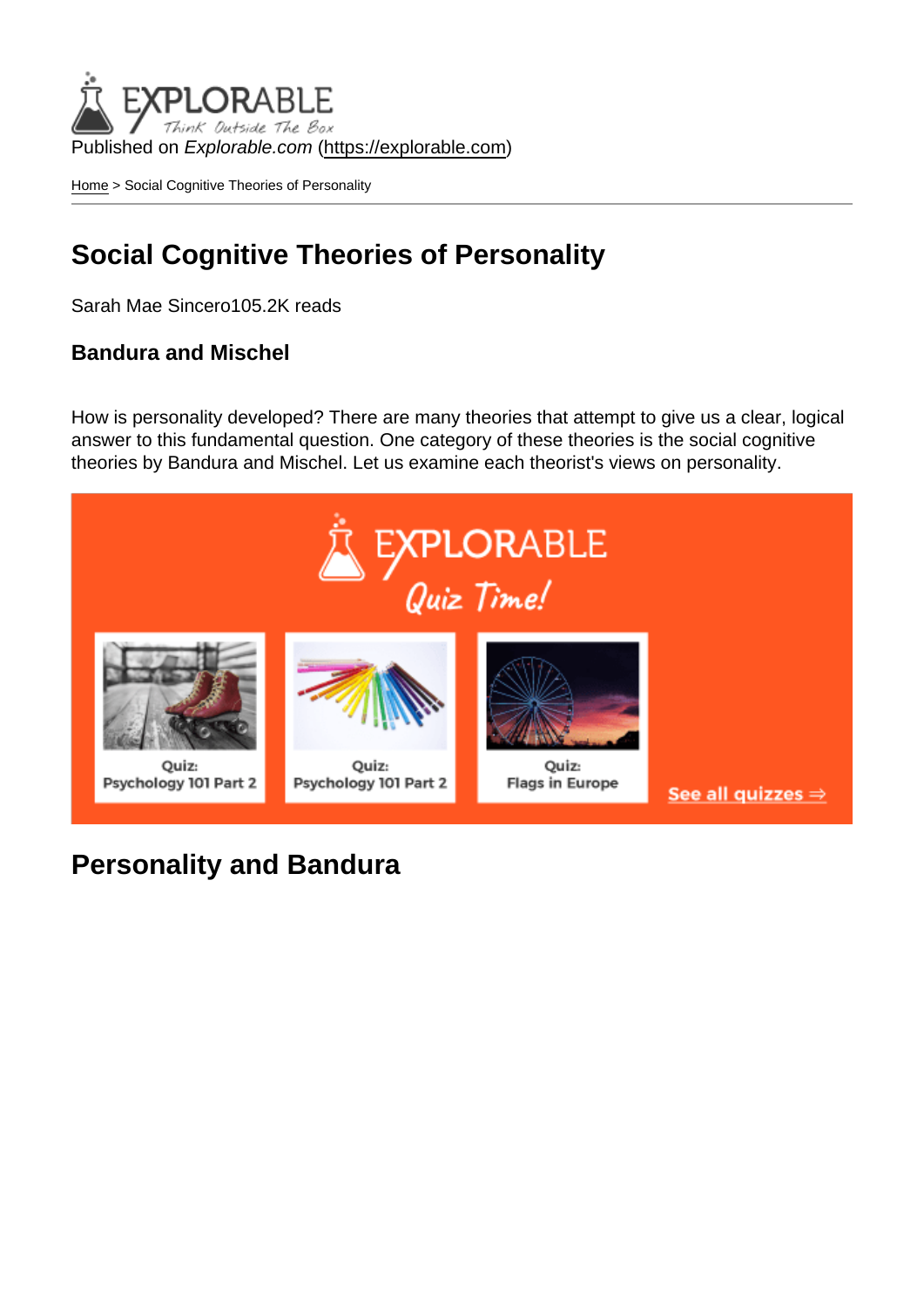Published on Explorable.com (<https://explorable.com>)

[Home](https://explorable.com/) > Social Cognitive Theories of Personality

## Social Cognitive Theories of Personality

Sarah Mae Sincero105.2K reads

Bandura and Mischel

How is personality developed? There are many theories that attempt to give us a clear, logical answer to this fundamental question. One category of these theories is the social cognitive theories by Bandura and Mischel. Let us examine each theorist's views on personality.

Personality and Bandura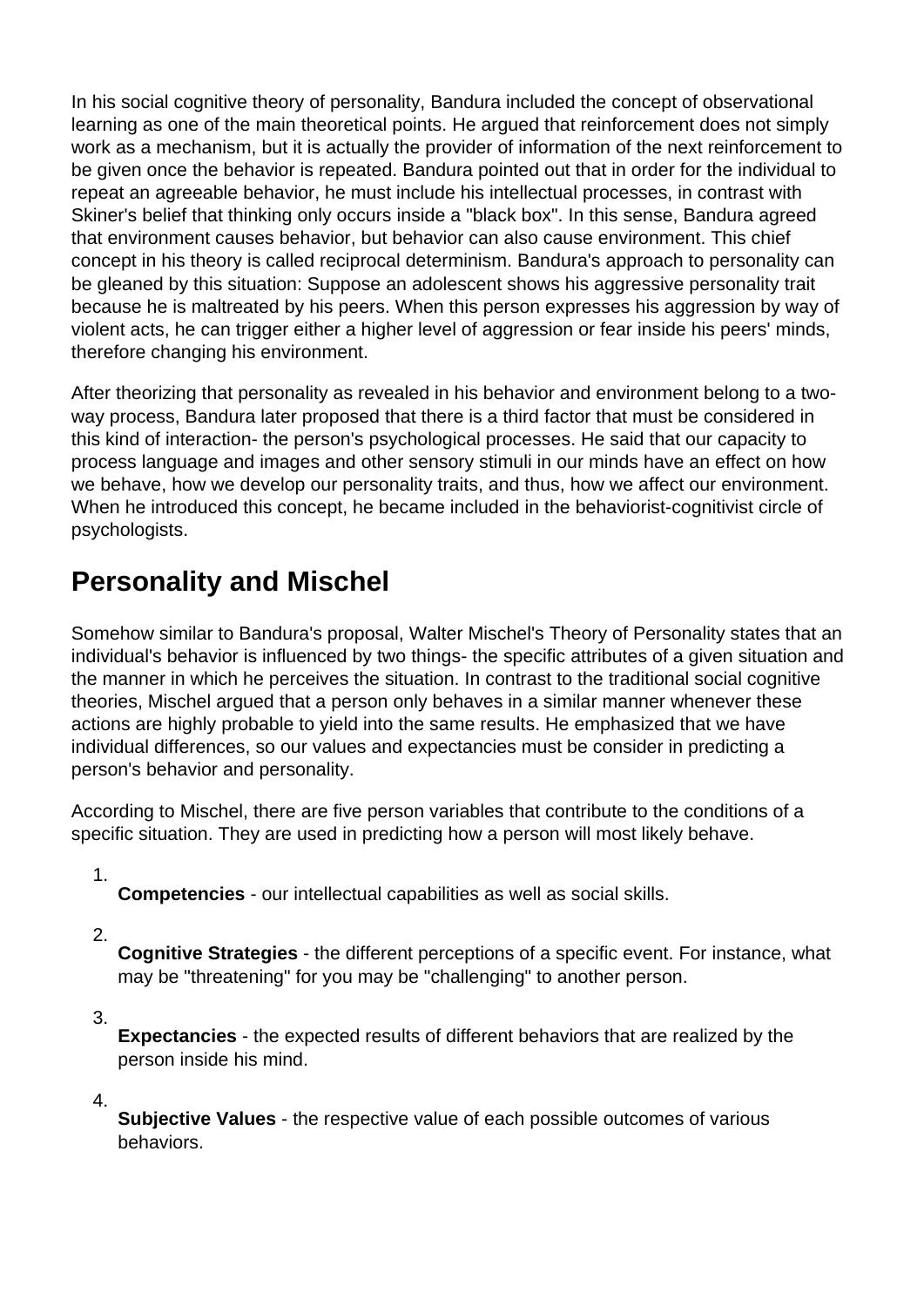In his social cognitive theory of personality, Bandura included the concept of observational learning as one of the main theoretical points. He argued that reinforcement does not simply work as a mechanism, but it is actually the provider of information of the next reinforcement to be given once the behavior is repeated. Bandura pointed out that in order for the individual to repeat an agreeable behavior, he must include his intellectual processes, in contrast with Skiner's belief that thinking only occurs inside a "black box". In this sense, Bandura agreed that environment causes behavior, but behavior can also cause environment. This chief concept in his theory is called reciprocal determinism. Bandura's approach to personality can be gleaned by this situation: Suppose an adolescent shows his aggressive personality trait because he is maltreated by his peers. When this person expresses his aggression by way of violent acts, he can trigger either a higher level of aggression or fear inside his peers' minds, therefore changing his environment.

After theorizing that personality as revealed in his behavior and environment belong to a twoway process, Bandura later proposed that there is a third factor that must be considered in this kind of interaction- the person's psychological processes. He said that our capacity to process language and images and other sensory stimuli in our minds have an effect on how we behave, how we develop our personality traits, and thus, how we affect our environment. When he introduced this concept, he became included in the behaviorist-cognitivist circle of psychologists.

## **Personality and Mischel**

Somehow similar to Bandura's proposal, Walter Mischel's Theory of Personality states that an individual's behavior is influenced by two things- the specific attributes of a given situation and the manner in which he perceives the situation. In contrast to the traditional social cognitive theories, Mischel argued that a person only behaves in a similar manner whenever these actions are highly probable to yield into the same results. He emphasized that we have individual differences, so our values and expectancies must be consider in predicting a person's behavior and personality.

According to Mischel, there are five person variables that contribute to the conditions of a specific situation. They are used in predicting how a person will most likely behave.

1.

**Competencies** - our intellectual capabilities as well as social skills.

2.

**Cognitive Strategies** - the different perceptions of a specific event. For instance, what may be "threatening" for you may be "challenging" to another person.

3.

**Expectancies** - the expected results of different behaviors that are realized by the person inside his mind.

4.

**Subjective Values** - the respective value of each possible outcomes of various behaviors.